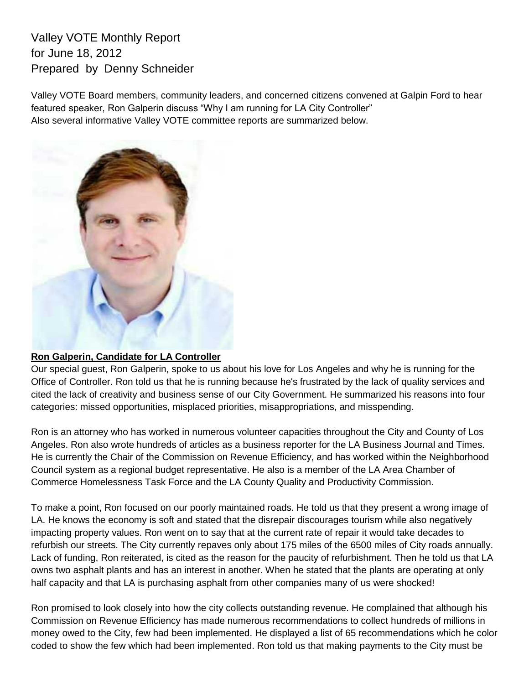# Valley VOTE Monthly Report for June 18, 2012 Prepared by Denny Schneider

Valley VOTE Board members, community leaders, and concerned citizens convened at Galpin Ford to hear featured speaker, Ron Galperin discuss "Why I am running for LA City Controller" Also several informative Valley VOTE committee reports are summarized below.



## **Ron Galperin, Candidate for LA Controller**

Our special guest, Ron Galperin, spoke to us about his love for Los Angeles and why he is running for the Office of Controller. Ron told us that he is running because he's frustrated by the lack of quality services and cited the lack of creativity and business sense of our City Government. He summarized his reasons into four categories: missed opportunities, misplaced priorities, misappropriations, and misspending.

Ron is an attorney who has worked in numerous volunteer capacities throughout the City and County of Los Angeles. Ron also wrote hundreds of articles as a business reporter for the LA Business Journal and Times. He is currently the Chair of the Commission on Revenue Efficiency, and has worked within the Neighborhood Council system as a regional budget representative. He also is a member of the LA Area Chamber of Commerce Homelessness Task Force and the LA County Quality and Productivity Commission.

To make a point, Ron focused on our poorly maintained roads. He told us that they present a wrong image of LA. He knows the economy is soft and stated that the disrepair discourages tourism while also negatively impacting property values. Ron went on to say that at the current rate of repair it would take decades to refurbish our streets. The City currently repaves only about 175 miles of the 6500 miles of City roads annually. Lack of funding, Ron reiterated, is cited as the reason for the paucity of refurbishment. Then he told us that LA owns two asphalt plants and has an interest in another. When he stated that the plants are operating at only half capacity and that LA is purchasing asphalt from other companies many of us were shocked!

Ron promised to look closely into how the city collects outstanding revenue. He complained that although his Commission on Revenue Efficiency has made numerous recommendations to collect hundreds of millions in money owed to the City, few had been implemented. He displayed a list of 65 recommendations which he color coded to show the few which had been implemented. Ron told us that making payments to the City must be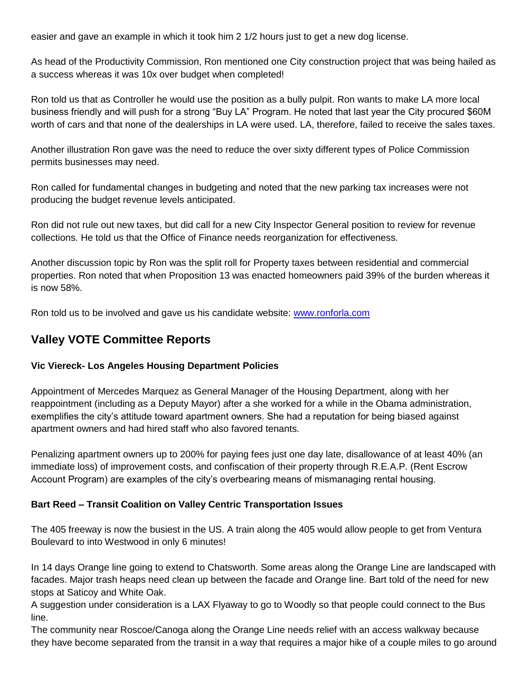easier and gave an example in which it took him 2 1/2 hours just to get a new dog license.

As head of the Productivity Commission, Ron mentioned one City construction project that was being hailed as a success whereas it was 10x over budget when completed!

Ron told us that as Controller he would use the position as a bully pulpit. Ron wants to make LA more local business friendly and will push for a strong "Buy LA" Program. He noted that last year the City procured \$60M worth of cars and that none of the dealerships in LA were used. LA, therefore, failed to receive the sales taxes.

Another illustration Ron gave was the need to reduce the over sixty different types of Police Commission permits businesses may need.

Ron called for fundamental changes in budgeting and noted that the new parking tax increases were not producing the budget revenue levels anticipated.

Ron did not rule out new taxes, but did call for a new City Inspector General position to review for revenue collections. He told us that the Office of Finance needs reorganization for effectiveness.

Another discussion topic by Ron was the split roll for Property taxes between residential and commercial properties. Ron noted that when Proposition 13 was enacted homeowners paid 39% of the burden whereas it is now 58%.

Ron told us to be involved and gave us his candidate website: [www.ronforla.com](http://www.ronforla.com/)

# **Valley VOTE Committee Reports**

## **Vic Viereck- Los Angeles Housing Department Policies**

Appointment of Mercedes Marquez as General Manager of the Housing Department, along with her reappointment (including as a Deputy Mayor) after a she worked for a while in the Obama administration, exemplifies the city's attitude toward apartment owners. She had a reputation for being biased against apartment owners and had hired staff who also favored tenants.

Penalizing apartment owners up to 200% for paying fees just one day late, disallowance of at least 40% (an immediate loss) of improvement costs, and confiscation of their property through R.E.A.P. (Rent Escrow Account Program) are examples of the city's overbearing means of mismanaging rental housing.

## **Bart Reed – Transit Coalition on Valley Centric Transportation Issues**

The 405 freeway is now the busiest in the US. A train along the 405 would allow people to get from Ventura Boulevard to into Westwood in only 6 minutes!

In 14 days Orange line going to extend to Chatsworth. Some areas along the Orange Line are landscaped with facades. Major trash heaps need clean up between the facade and Orange line. Bart told of the need for new stops at Saticoy and White Oak.

A suggestion under consideration is a LAX Flyaway to go to Woodly so that people could connect to the Bus line.

The community near Roscoe/Canoga along the Orange Line needs relief with an access walkway because they have become separated from the transit in a way that requires a major hike of a couple miles to go around